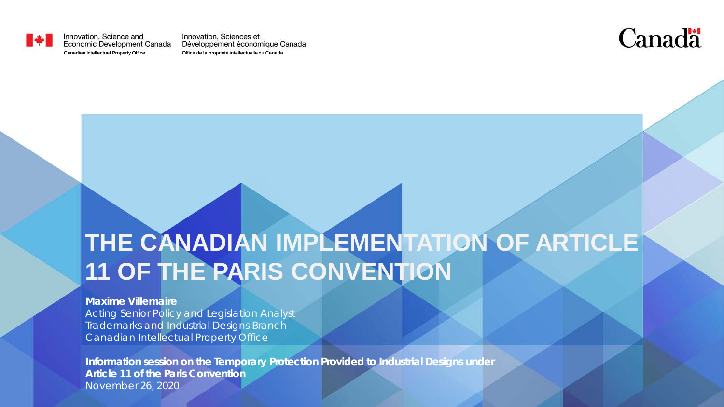

Innovation, Science and Economic Development Canada

Innovation, Sciences et Développement économique Canada Canadian Intellectual Property Office Office de la propriété intellectuelle du Canada



#### **THE CANADIAN IMPLEMENTATION OF ARTICLE 11 OF THE PARIS CONVENTION**

#### **Maxime Villemaire**

Acting Senior Policy and Legislation Analyst Trademarks and Industrial Designs Branch Canadian Intellectual Property Office

**Information session on the Temporary Protection Provided to Industrial Designs under Article 11 of the Paris Convention** November 26, 2020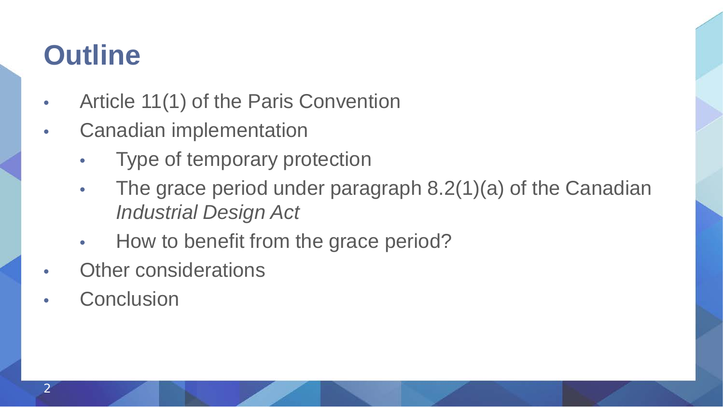# **Outline**

- Article 11(1) of the Paris Convention
- Canadian implementation
	- Type of temporary protection
	- The grace period under paragraph 8.2(1)(a) of the Canadian *Industrial Design Act*
	- How to benefit from the grace period?
- **Other considerations**
- **Conclusion**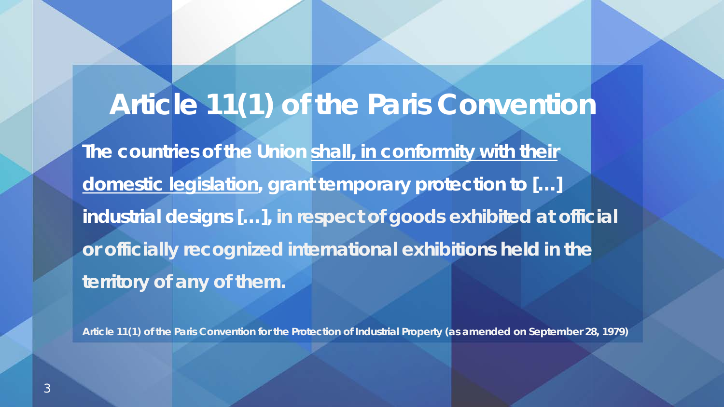# **Article 11(1) of the Paris Convention**

**The countries of the Union shall, in conformity with their domestic legislation, grant temporary protection to […] industrial designs […], in respect of goods exhibited at official or officially recognized international exhibitions held in the territory of any of them.**

**Article 11(1) of the** *Paris Convention for the Protection of Industrial Property* **(as amended on September 28, 1979)**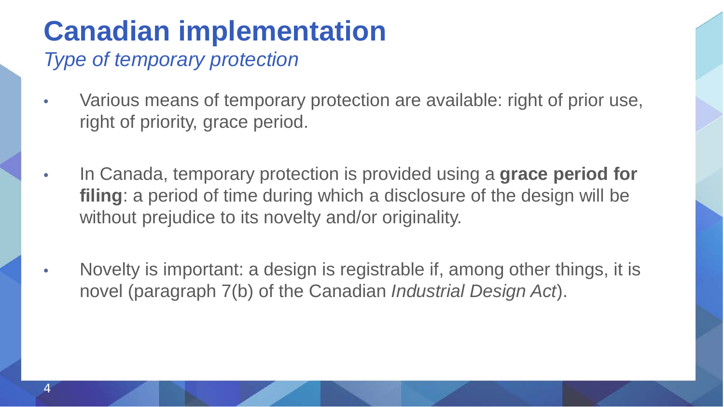# **Canadian implementation**

*Type of temporary protection*

- Various means of temporary protection are available: right of prior use, right of priority, grace period.
- In Canada, temporary protection is provided using a **grace period for filing**: a period of time during which a disclosure of the design will be without prejudice to its novelty and/or originality.
- Novelty is important: a design is registrable if, among other things, it is novel (paragraph 7(b) of the Canadian *Industrial Design Act*).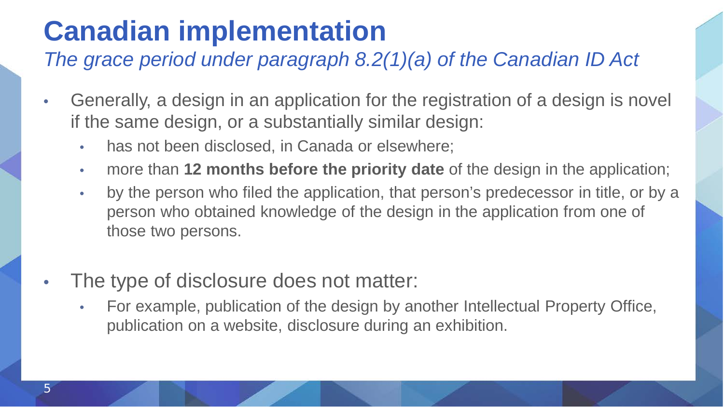# **Canadian implementation**

*The grace period under paragraph 8.2(1)(a) of the Canadian ID Act*

- Generally, a design in an application for the registration of a design is novel if the same design, or a substantially similar design:
	- has not been disclosed, in Canada or elsewhere;
	- more than **12 months before the priority date** of the design in the application;
	- by the person who filed the application, that person's predecessor in title, or by a person who obtained knowledge of the design in the application from one of those two persons.
- The type of disclosure does not matter:
	- For example, publication of the design by another Intellectual Property Office, publication on a website, disclosure during an exhibition.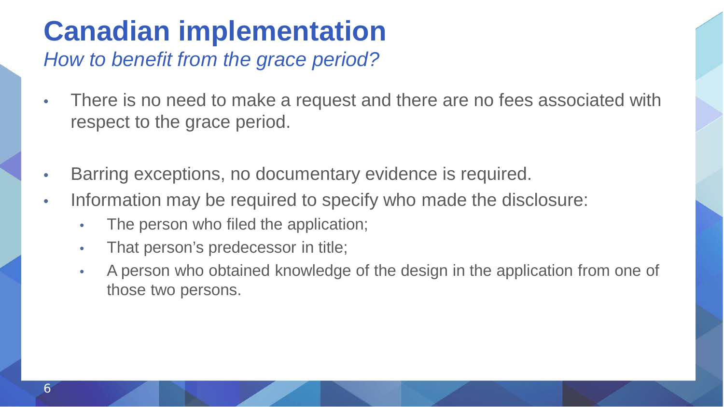# **Canadian implementation**

*How to benefit from the grace period?*

- There is no need to make a request and there are no fees associated with respect to the grace period.
- Barring exceptions, no documentary evidence is required.
- Information may be required to specify who made the disclosure:
	- The person who filed the application;
	- That person's predecessor in title;
	- A person who obtained knowledge of the design in the application from one of those two persons.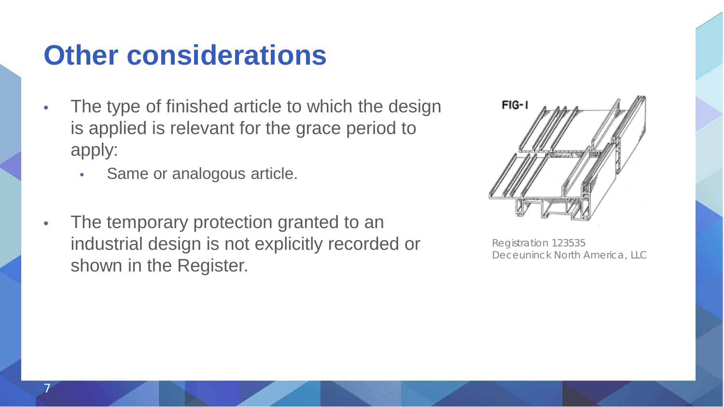### **Other considerations**

- The type of finished article to which the design is applied is relevant for the grace period to apply:
	- Same or analogous article.

7

The temporary protection granted to an industrial design is not explicitly recorded or shown in the Register.



Registration 123535 Deceuninck North America, LLC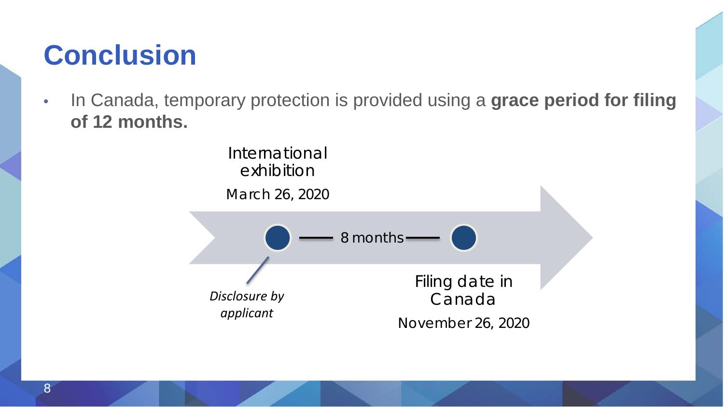# **Conclusion**

• In Canada, temporary protection is provided using a **grace period for filing of 12 months.**

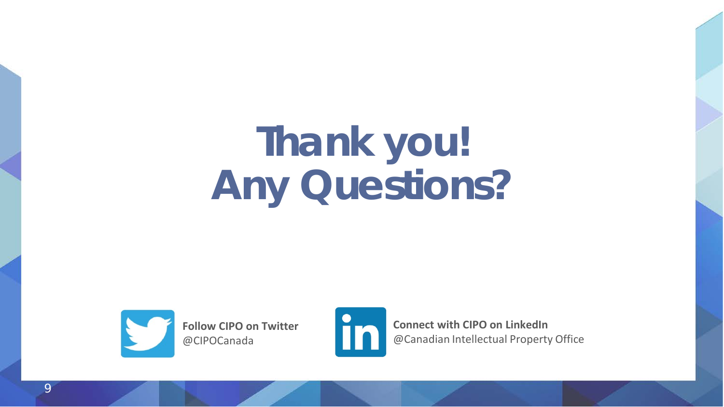# **Thank you! Any Questions?**



**Follow CIPO on Twitter**  @CIPOCanada



**Connect with CIPO on LinkedIn**  @Canadian Intellectual Property Office